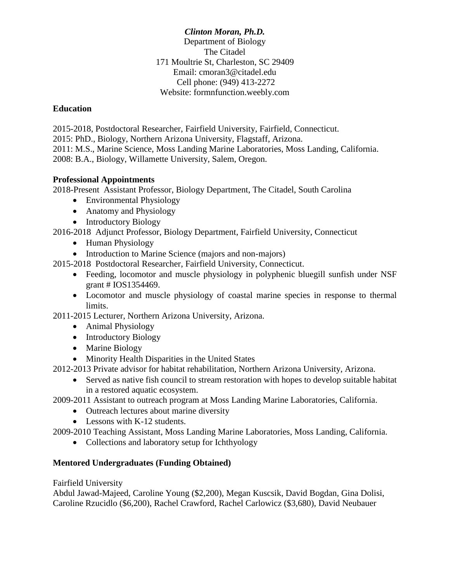*Clinton Moran, Ph.D.* Department of Biology The Citadel 171 Moultrie St, Charleston, SC 29409 Email: cmoran3@citadel.edu Cell phone: (949) 413-2272 Website: formnfunction.weebly.com

# **Education**

2015-2018, Postdoctoral Researcher, Fairfield University, Fairfield, Connecticut. 2015: PhD., Biology, Northern Arizona University, Flagstaff, Arizona. 2011: M.S., Marine Science, Moss Landing Marine Laboratories, Moss Landing, California. 2008: B.A., Biology, Willamette University, Salem, Oregon.

# **Professional Appointments**

2018-Present Assistant Professor, Biology Department, The Citadel, South Carolina

- Environmental Physiology
- Anatomy and Physiology
- Introductory Biology

2016-2018 Adjunct Professor, Biology Department, Fairfield University, Connecticut

- Human Physiology
- Introduction to Marine Science (majors and non-majors)
- 2015-2018 Postdoctoral Researcher, Fairfield University, Connecticut.
	- Feeding, locomotor and muscle physiology in polyphenic bluegill sunfish under NSF grant # IOS1354469.
	- Locomotor and muscle physiology of coastal marine species in response to thermal limits.

2011-2015 Lecturer, Northern Arizona University, Arizona.

- Animal Physiology
- Introductory Biology
- Marine Biology
- Minority Health Disparities in the United States

2012-2013 Private advisor for habitat rehabilitation, Northern Arizona University, Arizona.

- Served as native fish council to stream restoration with hopes to develop suitable habitat in a restored aquatic ecosystem.
- 2009-2011 Assistant to outreach program at Moss Landing Marine Laboratories, California.
	- Outreach lectures about marine diversity
	- Lessons with K-12 students.

2009-2010 Teaching Assistant, Moss Landing Marine Laboratories, Moss Landing, California.

• Collections and laboratory setup for Ichthyology

# **Mentored Undergraduates (Funding Obtained)**

Fairfield University

Abdul Jawad-Majeed, Caroline Young (\$2,200), Megan Kuscsik, David Bogdan, Gina Dolisi, Caroline Rzucidlo (\$6,200), Rachel Crawford, Rachel Carlowicz (\$3,680), David Neubauer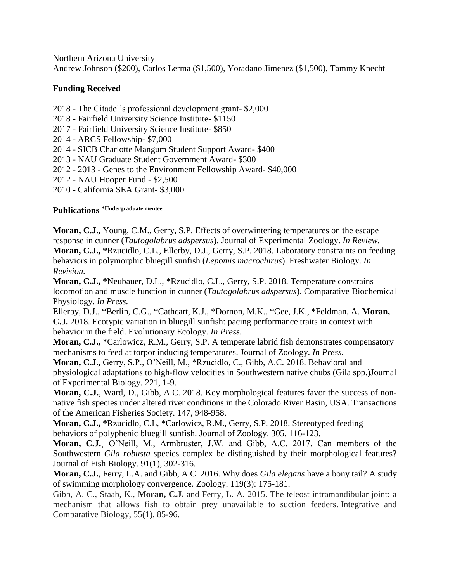Northern Arizona University

Andrew Johnson (\$200), Carlos Lerma (\$1,500), Yoradano Jimenez (\$1,500), Tammy Knecht

### **Funding Received**

2018 - The Citadel's professional development grant- \$2,000

- 2018 Fairfield University Science Institute- \$1150
- 2017 Fairfield University Science Institute- \$850

2014 - ARCS Fellowship- \$7,000

- 2014 SICB Charlotte Mangum Student Support Award- \$400
- 2013 NAU Graduate Student Government Award- \$300
- 2012 2013 Genes to the Environment Fellowship Award- \$40,000
- 2012 NAU Hooper Fund \$2,500
- 2010 California SEA Grant- \$3,000

### **Publications \*Undergraduate mentee**

**Moran, C.J.,** Young, C.M., Gerry, S.P. Effects of overwintering temperatures on the escape response in cunner (*Tautogolabrus adspersus*). Journal of Experimental Zoology. *In Review.*  **Moran, C.J., \***Rzucidlo, C.L., Ellerby, D.J., Gerry, S.P. 2018. Laboratory constraints on feeding behaviors in polymorphic bluegill sunfish (*Lepomis macrochirus*). Freshwater Biology. *In Revision.*

**Moran, C.J., \***Neubauer, D.L., \*Rzucidlo, C.L., Gerry, S.P. 2018. Temperature constrains locomotion and muscle function in cunner (*Tautogolabrus adspersus*). Comparative Biochemical Physiology. *In Press.* 

Ellerby, D.J., \*Berlin, C.G., \*Cathcart, K.J., \*Dornon, M.K., \*Gee, J.K., \*Feldman, A. **Moran, C.J.** 2018. Ecotypic variation in bluegill sunfish: pacing performance traits in context with behavior in the field. Evolutionary Ecology. *In Press.* 

**Moran, C.J.,** \*Carlowicz, R.M., Gerry, S.P. A temperate labrid fish demonstrates compensatory mechanisms to feed at torpor inducing temperatures. Journal of Zoology. *In Press.*

**Moran, C.J.,** Gerry, S.P., O'Neill, M., \*Rzucidlo, C., Gibb, A.C. 2018. [Behavioral](https://www.researchgate.net/publication/324229413_Behavioral_and_physiological_adaptations_to_high-flow_velocities_in_Southwestern_native_chubs_Gila_spp?_sg=-He_aBKvH9BLTFWoPUWB7C7NZa7eeKekk48KFm9fAnu-MPEv-vUZVXs4NJ7pLAOimbyrXMhh4z_KZdwIVYJTrlr6qhllFFxgr1FdOEw0.XxADiMsTklaK4Yj5SvJCMx46pQs2fP9HjJmbb-VWkdxF5z9qOkdR6SVKAXM212FAC6fDDqn76_HGmgGbtdQR-w) and physiological adaptations to high-flow velocities in [Southwestern](https://www.researchgate.net/publication/324229413_Behavioral_and_physiological_adaptations_to_high-flow_velocities_in_Southwestern_native_chubs_Gila_spp?_sg=-He_aBKvH9BLTFWoPUWB7C7NZa7eeKekk48KFm9fAnu-MPEv-vUZVXs4NJ7pLAOimbyrXMhh4z_KZdwIVYJTrlr6qhllFFxgr1FdOEw0.XxADiMsTklaK4Yj5SvJCMx46pQs2fP9HjJmbb-VWkdxF5z9qOkdR6SVKAXM212FAC6fDDqn76_HGmgGbtdQR-w) native chubs (Gila spp.)Journal of Experimental Biology. 221, 1-9.

**Moran, C.J.**, Ward, D., Gibb, A.C. 2018. Key morphological features favor the success of nonnative fish species under altered river conditions in the Colorado River Basin, USA. Transactions of the American Fisheries Society. 147, 948-958.

**Moran, C.J., \***Rzucidlo, C.L, \*Carlowicz, R.M., Gerry, S.P. 2018. Stereotyped feeding behaviors of polyphenic bluegill sunfish. Journal of Zoology. 305, 116-123.

**Moran, C.J.**¸ O'Neill, M., Armbruster, J.W. and Gibb, A.C. 2017. Can members of the Southwestern *Gila robusta* species complex be distinguished by their morphological features? Journal of Fish Biology. 91(1), 302-316.

**Moran, C.J.**, Ferry, L.A. and Gibb, A.C. 2016. Why does *Gila elegans* have a bony tail? A study of swimming morphology convergence. Zoology. 119(3): 175-181.

Gibb, A. C., Staab, K., **Moran, C.J.** and Ferry, L. A. 2015. The teleost intramandibular joint: a mechanism that allows fish to obtain prey unavailable to suction feeders. Integrative and Comparative Biology, 55(1), 85-96.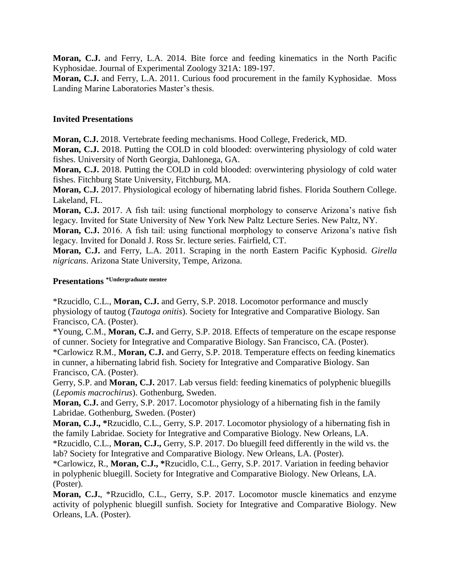**Moran, C.J.** and Ferry, L.A. 2014. Bite force and feeding kinematics in the North Pacific Kyphosidae. Journal of Experimental Zoology 321A: 189-197.

**Moran, C.J.** and Ferry, L.A. 2011. Curious food procurement in the family Kyphosidae. Moss Landing Marine Laboratories Master's thesis.

#### **Invited Presentations**

**Moran, C.J.** 2018. Vertebrate feeding mechanisms. Hood College, Frederick, MD.

**Moran, C.J.** 2018. Putting the COLD in cold blooded: overwintering physiology of cold water fishes. University of North Georgia, Dahlonega, GA.

**Moran, C.J.** 2018. Putting the COLD in cold blooded: overwintering physiology of cold water fishes. Fitchburg State University, Fitchburg, MA.

**Moran, C.J.** 2017. Physiological ecology of hibernating labrid fishes. Florida Southern College. Lakeland, FL.

**Moran, C.J.** 2017. A fish tail: using functional morphology to conserve Arizona's native fish legacy. Invited for State University of New York New Paltz Lecture Series. New Paltz, NY.

**Moran, C.J.** 2016. A fish tail: using functional morphology to conserve Arizona's native fish legacy. Invited for Donald J. Ross Sr. lecture series. Fairfield, CT.

**Moran, C.J.** and Ferry, L.A. 2011. Scraping in the north Eastern Pacific Kyphosid. *Girella nigricans*. Arizona State University, Tempe, Arizona.

# **Presentations \*Undergraduate mentee**

\*Rzucidlo, C.L., **Moran, C.J.** and Gerry, S.P. 2018. Locomotor performance and muscly physiology of tautog (*Tautoga onitis*). Society for Integrative and Comparative Biology. San Francisco, CA. (Poster).

\*Young, C.M., **Moran, C.J.** and Gerry, S.P. 2018. Effects of temperature on the escape response of cunner. Society for Integrative and Comparative Biology. San Francisco, CA. (Poster).

\*Carlowicz R.M., **Moran, C.J.** and Gerry, S.P. 2018. Temperature effects on feeding kinematics in cunner, a hibernating labrid fish. Society for Integrative and Comparative Biology. San Francisco, CA. (Poster).

Gerry, S.P. and **Moran, C.J.** 2017. Lab versus field: feeding kinematics of polyphenic bluegills (*Lepomis macrochirus*). Gothenburg, Sweden.

**Moran, C.J.** and Gerry, S.P. 2017. Locomotor physiology of a hibernating fish in the family Labridae. Gothenburg, Sweden. (Poster)

**Moran, C.J., \***Rzucidlo, C.L., Gerry, S.P. 2017. Locomotor physiology of a hibernating fish in the family Labridae. Society for Integrative and Comparative Biology. New Orleans, LA.

\*Rzucidlo, C.L., **Moran, C.J.,** Gerry, S.P. 2017. Do bluegill feed differently in the wild vs. the lab? Society for Integrative and Comparative Biology. New Orleans, LA. (Poster).

\*Carlowicz, R., **Moran, C.J., \***Rzucidlo, C.L., Gerry, S.P. 2017. Variation in feeding behavior in polyphenic bluegill. Society for Integrative and Comparative Biology. New Orleans, LA. (Poster).

**Moran, C.J.**, \*Rzucidlo, C.L., Gerry, S.P. 2017. Locomotor muscle kinematics and enzyme activity of polyphenic bluegill sunfish. Society for Integrative and Comparative Biology. New Orleans, LA. (Poster).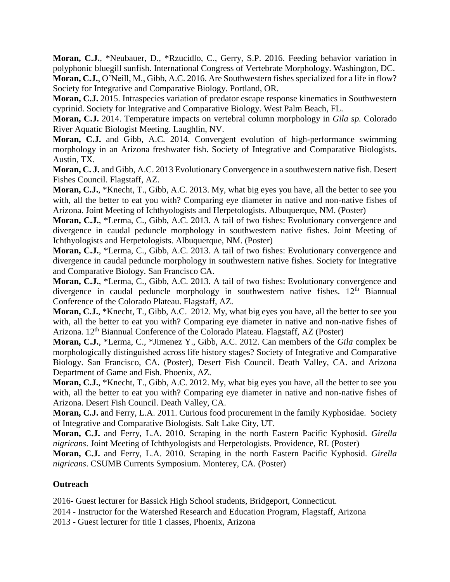**Moran, C.J.**, \*Neubauer, D., \*Rzucidlo, C., Gerry, S.P. 2016. Feeding behavior variation in polyphonic bluegill sunfish. International Congress of Vertebrate Morphology. Washington, DC. **Moran, C.J.**, O'Neill, M., Gibb, A.C. 2016. Are Southwestern fishes specialized for a life in flow? Society for Integrative and Comparative Biology. Portland, OR.

**Moran, C.J.** 2015. Intraspecies variation of predator escape response kinematics in Southwestern cyprinid. Society for Integrative and Comparative Biology. West Palm Beach, FL.

**Moran, C.J.** 2014. Temperature impacts on vertebral column morphology in *Gila sp.* Colorado River Aquatic Biologist Meeting. Laughlin, NV.

**Moran, C.J.** and Gibb, A.C. 2014. Convergent evolution of high-performance swimming morphology in an Arizona freshwater fish. Society of Integrative and Comparative Biologists. Austin, TX.

**Moran, C. J.** and Gibb, A.C. 2013 Evolutionary Convergence in a southwestern native fish. Desert Fishes Council. Flagstaff, AZ.

**Moran, C.J.**, \*Knecht, T., Gibb, A.C. 2013. My, what big eyes you have, all the better to see you with, all the better to eat you with? Comparing eye diameter in native and non-native fishes of Arizona. Joint Meeting of Ichthyologists and Herpetologists. Albuquerque, NM. (Poster)

**Moran, C.J.**, \*Lerma, C., Gibb, A.C. 2013. A tail of two fishes: Evolutionary convergence and divergence in caudal peduncle morphology in southwestern native fishes. Joint Meeting of Ichthyologists and Herpetologists. Albuquerque, NM. (Poster)

**Moran, C.J.**, \*Lerma, C., Gibb, A.C. 2013. A tail of two fishes: Evolutionary convergence and divergence in caudal peduncle morphology in southwestern native fishes. Society for Integrative and Comparative Biology. San Francisco CA.

**Moran, C.J.**, \*Lerma, C., Gibb, A.C. 2013. A tail of two fishes: Evolutionary convergence and divergence in caudal peduncle morphology in southwestern native fishes.  $12<sup>th</sup>$  Biannual Conference of the Colorado Plateau. Flagstaff, AZ.

**Moran, C.J.**, \*Knecht, T., Gibb, A.C. 2012. My, what big eyes you have, all the better to see you with, all the better to eat you with? Comparing eye diameter in native and non-native fishes of Arizona. 12<sup>th</sup> Biannual Conference of the Colorado Plateau. Flagstaff, AZ (Poster)

**Moran, C.J.**, \*Lerma, C., \*Jimenez Y., Gibb, A.C. 2012. Can members of the *Gila* complex be morphologically distinguished across life history stages? Society of Integrative and Comparative Biology. San Francisco, CA. (Poster), Desert Fish Council. Death Valley, CA. and Arizona Department of Game and Fish. Phoenix, AZ.

**Moran, C.J.**, \*Knecht, T., Gibb, A.C. 2012. My, what big eyes you have, all the better to see you with, all the better to eat you with? Comparing eye diameter in native and non-native fishes of Arizona. Desert Fish Council. Death Valley, CA.

**Moran, C.J.** and Ferry, L.A. 2011. Curious food procurement in the family Kyphosidae. Society of Integrative and Comparative Biologists. Salt Lake City, UT.

**Moran, C.J.** and Ferry, L.A. 2010. Scraping in the north Eastern Pacific Kyphosid. *Girella nigricans*. Joint Meeting of Ichthyologists and Herpetologists. Providence, RI. (Poster)

**Moran, C.J.** and Ferry, L.A. 2010. Scraping in the north Eastern Pacific Kyphosid. *Girella nigricans*. CSUMB Currents Symposium. Monterey, CA. (Poster)

### **Outreach**

2016- Guest lecturer for Bassick High School students, Bridgeport, Connecticut.

2014 - Instructor for the Watershed Research and Education Program, Flagstaff, Arizona

2013 - Guest lecturer for title 1 classes, Phoenix, Arizona